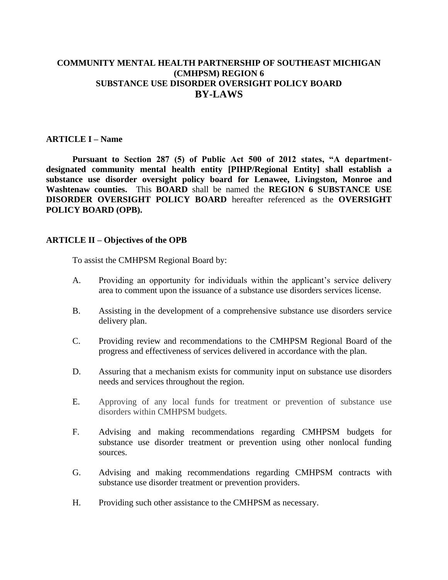# **COMMUNITY MENTAL HEALTH PARTNERSHIP OF SOUTHEAST MICHIGAN (CMHPSM) REGION 6 SUBSTANCE USE DISORDER OVERSIGHT POLICY BOARD BY-LAWS**

#### **ARTICLE I – Name**

**Pursuant to Section 287 (5) of Public Act 500 of 2012 states, "A departmentdesignated community mental health entity [PIHP/Regional Entity] shall establish a substance use disorder oversight policy board for Lenawee, Livingston, Monroe and Washtenaw counties.** This **BOARD** shall be named the **REGION 6 SUBSTANCE USE DISORDER OVERSIGHT POLICY BOARD** hereafter referenced as the **OVERSIGHT POLICY BOARD (OPB).**

#### **ARTICLE II – Objectives of the OPB**

To assist the CMHPSM Regional Board by:

- A. Providing an opportunity for individuals within the applicant's service delivery area to comment upon the issuance of a substance use disorders services license.
- B. Assisting in the development of a comprehensive substance use disorders service delivery plan.
- C. Providing review and recommendations to the CMHPSM Regional Board of the progress and effectiveness of services delivered in accordance with the plan.
- D. Assuring that a mechanism exists for community input on substance use disorders needs and services throughout the region.
- E. Approving of any local funds for treatment or prevention of substance use disorders within CMHPSM budgets.
- F. Advising and making recommendations regarding CMHPSM budgets for substance use disorder treatment or prevention using other nonlocal funding sources.
- G. Advising and making recommendations regarding CMHPSM contracts with substance use disorder treatment or prevention providers.
- H. Providing such other assistance to the CMHPSM as necessary.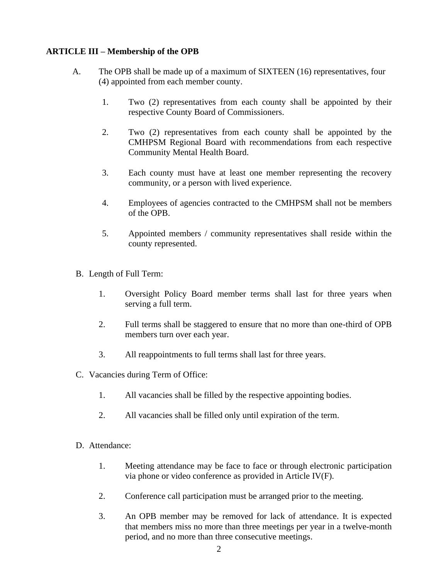#### **ARTICLE III – Membership of the OPB**

- A. The OPB shall be made up of a maximum of SIXTEEN (16) representatives, four (4) appointed from each member county.
	- 1. Two (2) representatives from each county shall be appointed by their respective County Board of Commissioners.
	- 2. Two (2) representatives from each county shall be appointed by the CMHPSM Regional Board with recommendations from each respective Community Mental Health Board.
	- 3. Each county must have at least one member representing the recovery community, or a person with lived experience.
	- 4. Employees of agencies contracted to the CMHPSM shall not be members of the OPB.
	- 5. Appointed members / community representatives shall reside within the county represented.
- B. Length of Full Term:
	- 1. Oversight Policy Board member terms shall last for three years when serving a full term.
	- 2. Full terms shall be staggered to ensure that no more than one-third of OPB members turn over each year.
	- 3. All reappointments to full terms shall last for three years.
- C. Vacancies during Term of Office:
	- 1. All vacancies shall be filled by the respective appointing bodies.
	- 2. All vacancies shall be filled only until expiration of the term.
- D. Attendance:
	- 1. Meeting attendance may be face to face or through electronic participation via phone or video conference as provided in Article IV(F).
	- 2. Conference call participation must be arranged prior to the meeting.
	- 3. An OPB member may be removed for lack of attendance. It is expected that members miss no more than three meetings per year in a twelve-month period, and no more than three consecutive meetings.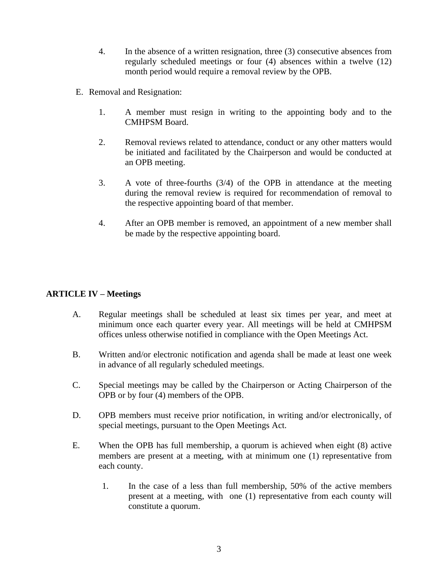- 4. In the absence of a written resignation, three (3) consecutive absences from regularly scheduled meetings or four (4) absences within a twelve (12) month period would require a removal review by the OPB.
- E. Removal and Resignation:
	- 1. A member must resign in writing to the appointing body and to the CMHPSM Board.
	- 2. Removal reviews related to attendance, conduct or any other matters would be initiated and facilitated by the Chairperson and would be conducted at an OPB meeting.
	- 3. A vote of three-fourths (3/4) of the OPB in attendance at the meeting during the removal review is required for recommendation of removal to the respective appointing board of that member.
	- 4. After an OPB member is removed, an appointment of a new member shall be made by the respective appointing board.

#### **ARTICLE IV – Meetings**

- A. Regular meetings shall be scheduled at least six times per year, and meet at minimum once each quarter every year. All meetings will be held at CMHPSM offices unless otherwise notified in compliance with the Open Meetings Act.
- B. Written and/or electronic notification and agenda shall be made at least one week in advance of all regularly scheduled meetings.
- C. Special meetings may be called by the Chairperson or Acting Chairperson of the OPB or by four (4) members of the OPB.
- D. OPB members must receive prior notification, in writing and/or electronically, of special meetings, pursuant to the Open Meetings Act.
- E. When the OPB has full membership, a quorum is achieved when eight (8) active members are present at a meeting, with at minimum one (1) representative from each county.
	- 1. In the case of a less than full membership, 50% of the active members present at a meeting, with one (1) representative from each county will constitute a quorum.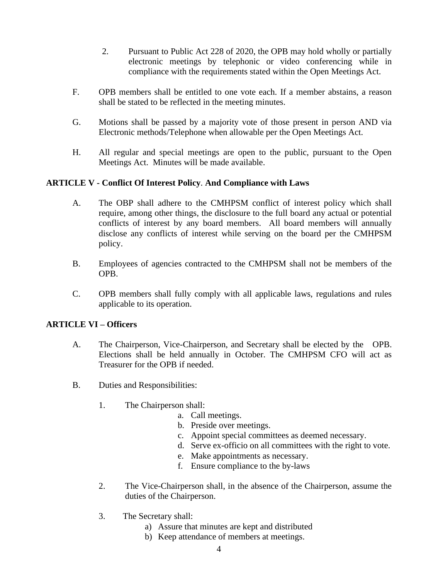- 2. Pursuant to Public Act 228 of 2020, the OPB may hold wholly or partially electronic meetings by telephonic or video conferencing while in compliance with the requirements stated within the Open Meetings Act.
- F. OPB members shall be entitled to one vote each. If a member abstains, a reason shall be stated to be reflected in the meeting minutes.
- G. Motions shall be passed by a majority vote of those present in person AND via Electronic methods/Telephone when allowable per the Open Meetings Act.
- H. All regular and special meetings are open to the public, pursuant to the Open Meetings Act. Minutes will be made available.

## **ARTICLE V - Conflict Of Interest Policy**. **And Compliance with Laws**

- A. The OBP shall adhere to the CMHPSM conflict of interest policy which shall require, among other things, the disclosure to the full board any actual or potential conflicts of interest by any board members. All board members will annually disclose any conflicts of interest while serving on the board per the CMHPSM policy.
- B. Employees of agencies contracted to the CMHPSM shall not be members of the OPB.
- C. OPB members shall fully comply with all applicable laws, regulations and rules applicable to its operation.

## **ARTICLE VI – Officers**

- A. The Chairperson, Vice-Chairperson, and Secretary shall be elected by the OPB. Elections shall be held annually in October. The CMHPSM CFO will act as Treasurer for the OPB if needed.
- B. Duties and Responsibilities:
	- 1. The Chairperson shall:
		- a. Call meetings.
		- b. Preside over meetings.
		- c. Appoint special committees as deemed necessary.
		- d. Serve ex-officio on all committees with the right to vote.
		- e. Make appointments as necessary.
		- f. Ensure compliance to the by-laws
	- 2. The Vice-Chairperson shall, in the absence of the Chairperson, assume the duties of the Chairperson.
	- 3. The Secretary shall:
		- a) Assure that minutes are kept and distributed
		- b) Keep attendance of members at meetings.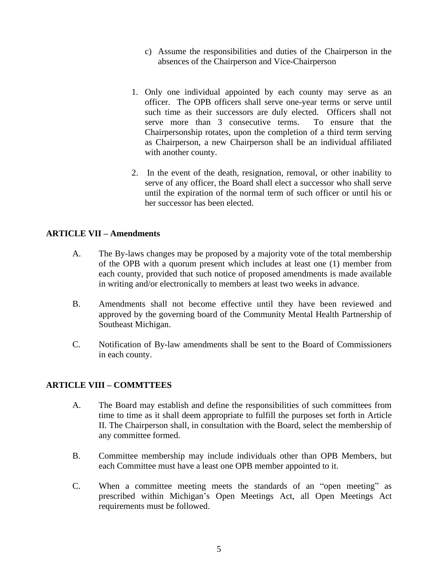- c) Assume the responsibilities and duties of the Chairperson in the absences of the Chairperson and Vice-Chairperson
- 1. Only one individual appointed by each county may serve as an officer. The OPB officers shall serve one-year terms or serve until such time as their successors are duly elected. Officers shall not serve more than 3 consecutive terms. To ensure that the Chairpersonship rotates, upon the completion of a third term serving as Chairperson, a new Chairperson shall be an individual affiliated with another county.
- 2. In the event of the death, resignation, removal, or other inability to serve of any officer, the Board shall elect a successor who shall serve until the expiration of the normal term of such officer or until his or her successor has been elected.

## **ARTICLE VII – Amendments**

- A. The By-laws changes may be proposed by a majority vote of the total membership of the OPB with a quorum present which includes at least one (1) member from each county, provided that such notice of proposed amendments is made available in writing and/or electronically to members at least two weeks in advance.
- B. Amendments shall not become effective until they have been reviewed and approved by the governing board of the Community Mental Health Partnership of Southeast Michigan.
- C. Notification of By-law amendments shall be sent to the Board of Commissioners in each county.

## **ARTICLE VIII – COMMTTEES**

- A. The Board may establish and define the responsibilities of such committees from time to time as it shall deem appropriate to fulfill the purposes set forth in Article II. The Chairperson shall, in consultation with the Board, select the membership of any committee formed.
- B. Committee membership may include individuals other than OPB Members, but each Committee must have a least one OPB member appointed to it.
- C. When a committee meeting meets the standards of an "open meeting" as prescribed within Michigan's Open Meetings Act, all Open Meetings Act requirements must be followed.